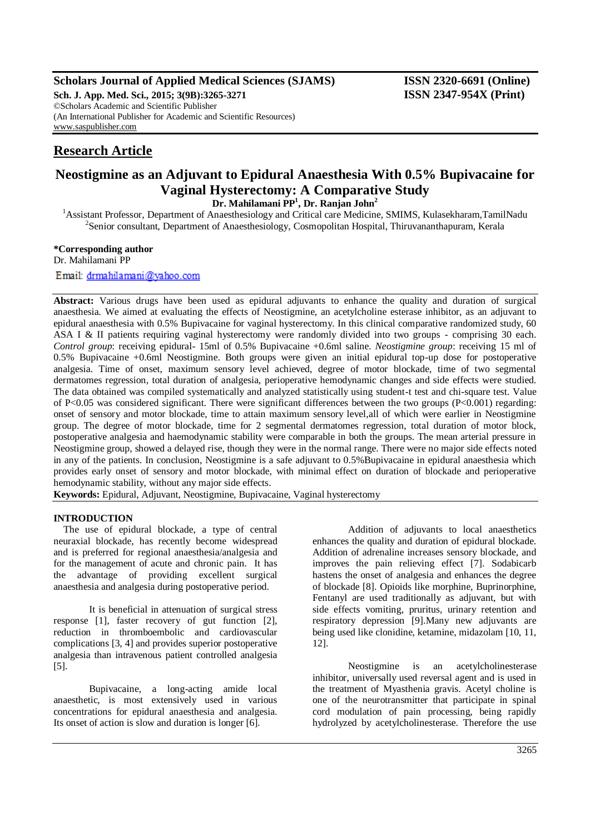## **Scholars Journal of Applied Medical Sciences (SJAMS) ISSN 2320-6691 (Online)**

**Sch. J. App. Med. Sci., 2015; 3(9B):3265-3271 ISSN 2347-954X (Print)** ©Scholars Academic and Scientific Publisher (An International Publisher for Academic and Scientific Resources) [www.saspublisher.com](http://www.saspublisher.com/)

# **Research Article**

# **Neostigmine as an Adjuvant to Epidural Anaesthesia With 0.5% Bupivacaine for Vaginal Hysterectomy: A Comparative Study**

**Dr. Mahilamani PP<sup>1</sup> , Dr. Ranjan John<sup>2</sup>**

<sup>1</sup> Assistant Professor, Department of Anaesthesiology and Critical care Medicine, SMIMS, Kulasekharam,TamilNadu <sup>2</sup>Senior consultant, Department of Anaesthesiology, Cosmopolitan Hospital, Thiruvananthapuram, Kerala

#### **\*Corresponding author**

Dr. Mahilamani PP

### Email: drmahilamani@yahoo.com

**Abstract:** Various drugs have been used as epidural adjuvants to enhance the quality and duration of surgical anaesthesia. We aimed at evaluating the effects of Neostigmine, an acetylcholine esterase inhibitor, as an adjuvant to epidural anaesthesia with 0.5% Bupivacaine for vaginal hysterectomy. In this clinical comparative randomized study, 60 ASA I & II patients requiring vaginal hysterectomy were randomly divided into two groups - comprising 30 each. *Control group*: receiving epidural- 15ml of 0.5% Bupivacaine +0.6ml saline. *Neostigmine group*: receiving 15 ml of 0.5% Bupivacaine +0.6ml Neostigmine. Both groups were given an initial epidural top-up dose for postoperative analgesia. Time of onset, maximum sensory level achieved, degree of motor blockade, time of two segmental dermatomes regression, total duration of analgesia, perioperative hemodynamic changes and side effects were studied. The data obtained was compiled systematically and analyzed statistically using student-t test and chi-square test. Value of P<0.05 was considered significant. There were significant differences between the two groups (P<0.001) regarding: onset of sensory and motor blockade, time to attain maximum sensory level,all of which were earlier in Neostigmine group. The degree of motor blockade, time for 2 segmental dermatomes regression, total duration of motor block, postoperative analgesia and haemodynamic stability were comparable in both the groups. The mean arterial pressure in Neostigmine group, showed a delayed rise, though they were in the normal range. There were no major side effects noted in any of the patients. In conclusion, Neostigmine is a safe adjuvant to 0.5% Bupivacaine in epidural anaesthesia which provides early onset of sensory and motor blockade, with minimal effect on duration of blockade and perioperative hemodynamic stability, without any major side effects.

**Keywords:** Epidural, Adjuvant, Neostigmine, Bupivacaine, Vaginal hysterectomy

#### **INTRODUCTION**

The use of epidural blockade, a type of central neuraxial blockade, has recently become widespread and is preferred for regional anaesthesia/analgesia and for the management of acute and chronic pain. It has the advantage of providing excellent surgical anaesthesia and analgesia during postoperative period.

It is beneficial in attenuation of surgical stress response [1], faster recovery of gut function [2], reduction in thromboembolic and cardiovascular complications [3, 4] and provides superior postoperative analgesia than intravenous patient controlled analgesia [5].

Bupivacaine, a long-acting amide local anaesthetic, is most extensively used in various concentrations for epidural anaesthesia and analgesia. Its onset of action is slow and duration is longer [6].

Addition of adjuvants to local anaesthetics enhances the quality and duration of epidural blockade. Addition of adrenaline increases sensory blockade, and improves the pain relieving effect [7]. Sodabicarb hastens the onset of analgesia and enhances the degree of blockade [8]. Opioids like morphine, Buprinorphine, Fentanyl are used traditionally as adjuvant, but with side effects vomiting, pruritus, urinary retention and respiratory depression [9].Many new adjuvants are being used like clonidine, ketamine, midazolam [10, 11, 12].

Neostigmine is an acetylcholinesterase inhibitor, universally used reversal agent and is used in the treatment of Myasthenia gravis. Acetyl choline is one of the neurotransmitter that participate in spinal cord modulation of pain processing, being rapidly hydrolyzed by acetylcholinesterase. Therefore the use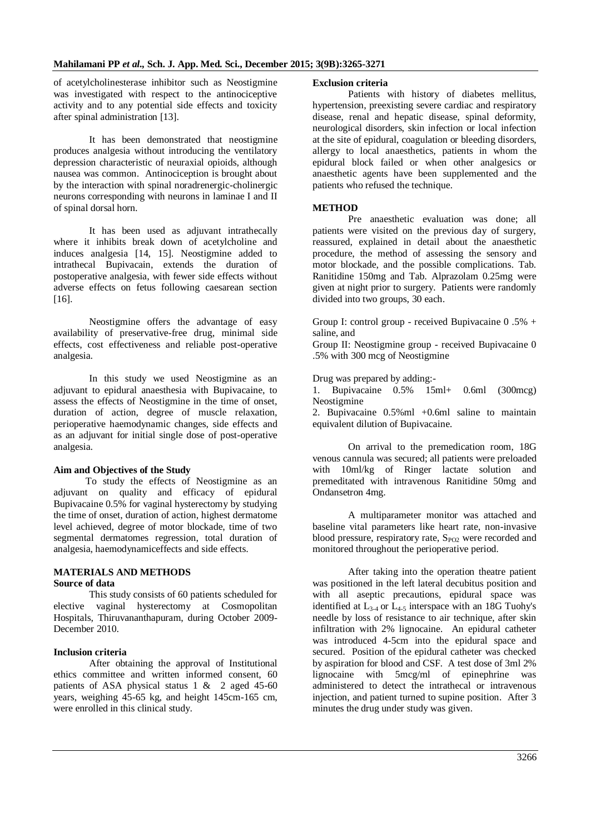of acetylcholinesterase inhibitor such as Neostigmine was investigated with respect to the antinociceptive activity and to any potential side effects and toxicity after spinal administration [13].

It has been demonstrated that neostigmine produces analgesia without introducing the ventilatory depression characteristic of neuraxial opioids, although nausea was common. Antinociception is brought about by the interaction with spinal noradrenergic-cholinergic neurons corresponding with neurons in laminae I and II of spinal dorsal horn.

It has been used as adjuvant intrathecally where it inhibits break down of acetylcholine and induces analgesia [14, 15]. Neostigmine added to intrathecal Bupivacain, extends the duration of postoperative analgesia, with fewer side effects without adverse effects on fetus following caesarean section [16].

Neostigmine offers the advantage of easy availability of preservative-free drug, minimal side effects, cost effectiveness and reliable post-operative analgesia.

In this study we used Neostigmine as an adjuvant to epidural anaesthesia with Bupivacaine, to assess the effects of Neostigmine in the time of onset, duration of action, degree of muscle relaxation, perioperative haemodynamic changes, side effects and as an adjuvant for initial single dose of post-operative analgesia.

#### **Aim and Objectives of the Study**

 To study the effects of Neostigmine as an adjuvant on quality and efficacy of epidural Bupivacaine 0.5% for vaginal hysterectomy by studying the time of onset, duration of action, highest dermatome level achieved, degree of motor blockade, time of two segmental dermatomes regression, total duration of analgesia, haemodynamiceffects and side effects.

#### **MATERIALS AND METHODS Source of data**

This study consists of 60 patients scheduled for elective vaginal hysterectomy at Cosmopolitan Hospitals, Thiruvananthapuram, during October 2009- December 2010.

#### **Inclusion criteria**

After obtaining the approval of Institutional ethics committee and written informed consent, 60 patients of ASA physical status  $1 \& 2$  aged 45-60 years, weighing 45-65 kg, and height 145cm-165 cm, were enrolled in this clinical study.

#### **Exclusion criteria**

Patients with history of diabetes mellitus, hypertension, preexisting severe cardiac and respiratory disease, renal and hepatic disease, spinal deformity, neurological disorders, skin infection or local infection at the site of epidural, coagulation or bleeding disorders, allergy to local anaesthetics, patients in whom the epidural block failed or when other analgesics or anaesthetic agents have been supplemented and the patients who refused the technique.

#### **METHOD**

Pre anaesthetic evaluation was done; all patients were visited on the previous day of surgery, reassured, explained in detail about the anaesthetic procedure, the method of assessing the sensory and motor blockade, and the possible complications. Tab. Ranitidine 150mg and Tab. Alprazolam 0.25mg were given at night prior to surgery. Patients were randomly divided into two groups, 30 each.

Group I: control group - received Bupivacaine  $0.5\%$  + saline, and

Group II: Neostigmine group - received Bupivacaine 0 .5% with 300 mcg of Neostigmine

Drug was prepared by adding:-

1. Bupivacaine 0.5% 15ml+ 0.6ml (300mcg) Neostigmine

2. Bupivacaine 0.5%ml +0.6ml saline to maintain equivalent dilution of Bupivacaine.

On arrival to the premedication room, 18G venous cannula was secured; all patients were preloaded with 10ml/kg of Ringer lactate solution and premeditated with intravenous Ranitidine 50mg and Ondansetron 4mg.

A multiparameter monitor was attached and baseline vital parameters like heart rate, non-invasive blood pressure, respiratory rate,  $S_{PQ2}$  were recorded and monitored throughout the perioperative period.

After taking into the operation theatre patient was positioned in the left lateral decubitus position and with all aseptic precautions, epidural space was identified at  $L_{3-4}$  or  $L_{4-5}$  interspace with an 18G Tuohy's needle by loss of resistance to air technique, after skin infiltration with 2% lignocaine. An epidural catheter was introduced 4-5cm into the epidural space and secured. Position of the epidural catheter was checked by aspiration for blood and CSF. A test dose of 3ml 2% lignocaine with 5mcg/ml of epinephrine was administered to detect the intrathecal or intravenous injection, and patient turned to supine position. After 3 minutes the drug under study was given.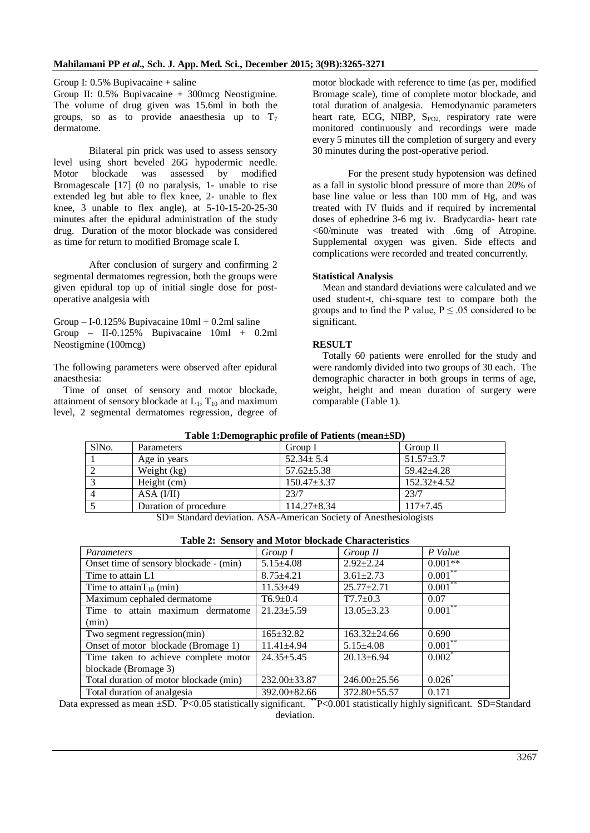Group I: 0.5% Bupivacaine + saline

Group II: 0.5% Bupivacaine + 300mcg Neostigmine. The volume of drug given was 15.6ml in both the groups, so as to provide anaesthesia up to  $T_7$ dermatome.

Bilateral pin prick was used to assess sensory level using short beveled 26G hypodermic needle. Motor blockade was assessed by modified Bromagescale [17] (0 no paralysis, 1- unable to rise extended leg but able to flex knee, 2- unable to flex knee, 3 unable to flex angle), at 5-10-15-20-25-30 minutes after the epidural administration of the study drug. Duration of the motor blockade was considered as time for return to modified Bromage scale I.

After conclusion of surgery and confirming 2 segmental dermatomes regression, both the groups were given epidural top up of initial single dose for postoperative analgesia with

Group – I-0.125% Bupivacaine  $10ml + 0.2ml$  saline Group – II-0.125% Bupivacaine 10ml + 0.2ml Neostigmine (100mcg)

The following parameters were observed after epidural anaesthesia:

Time of onset of sensory and motor blockade, attainment of sensory blockade at  $L_1$ ,  $T_{10}$  and maximum level, 2 segmental dermatomes regression, degree of

motor blockade with reference to time (as per, modified Bromage scale), time of complete motor blockade, and total duration of analgesia. Hemodynamic parameters heart rate, ECG, NIBP, S<sub>PO2,</sub> respiratory rate were monitored continuously and recordings were made every 5 minutes till the completion of surgery and every 30 minutes during the post-operative period.

For the present study hypotension was defined as a fall in systolic blood pressure of more than 20% of base line value or less than 100 mm of Hg, and was treated with IV fluids and if required by incremental doses of ephedrine 3-6 mg iv. Bradycardia- heart rate <60/minute was treated with .6mg of Atropine. Supplemental oxygen was given. Side effects and complications were recorded and treated concurrently.

#### **Statistical Analysis**

Mean and standard deviations were calculated and we used student-t, chi-square test to compare both the groups and to find the P value,  $P \leq .05$  considered to be significant.

### **RESULT**

Totally 60 patients were enrolled for the study and were randomly divided into two groups of 30 each. The demographic character in both groups in terms of age, weight, height and mean duration of surgery were comparable (Table 1).

| Table 1. Define a plane profile of Tatlents (incall $5D$ )            |                       |                   |                   |  |  |  |
|-----------------------------------------------------------------------|-----------------------|-------------------|-------------------|--|--|--|
| SIN <sub>o</sub> .                                                    | Parameters            | Group I           | Group II          |  |  |  |
|                                                                       | Age in years          | $52.34 \pm 5.4$   | $51.57 \pm 3.7$   |  |  |  |
|                                                                       | Weight (kg)           | $57.62 \pm 5.38$  | $59.42 + 4.28$    |  |  |  |
|                                                                       | Height (cm)           | $150.47 \pm 3.37$ | $152.32 \pm 4.52$ |  |  |  |
| 4                                                                     | ASA (I/II)            | 23/7              | 23/7              |  |  |  |
|                                                                       | Duration of procedure | $114.27 \pm 8.34$ | $117 + 7.45$      |  |  |  |
| $CD =$ Standard doviation $ACA$ American Society of Angethesialogicts |                       |                   |                   |  |  |  |

## **Table 1:Demographic profile of Patients (mean±SD)**

SD= Standard deviation. ASA-American Society of Anesthesiologists

| Parameters                             | Group I            | Group II           | P Value    |  |  |  |
|----------------------------------------|--------------------|--------------------|------------|--|--|--|
| Onset time of sensory blockade - (min) | $5.15 \pm 4.08$    | $2.92 \pm 2.24$    | $0.001**$  |  |  |  |
| Time to attain L1                      | $8.75 \pm 4.21$    | $3.61 \pm 2.73$    | $0.001***$ |  |  |  |
| Time to attain $T_{10}$ (min)          | $11.53 \pm 49$     | $25.77 \pm 2.71$   | $0.001***$ |  |  |  |
| Maximum cephaled dermatome             | $T6.9 \pm 0.4$     | $T7.7 \pm 0.3$     | 0.07       |  |  |  |
| Time to attain maximum dermatome       | $21.23 \pm 5.59$   | $13.05 \pm 3.23$   | $0.001***$ |  |  |  |
| (min)                                  |                    |                    |            |  |  |  |
| Two segment regression(min)            | $165 \pm 32.82$    | $163.32 + 24.66$   | 0.690      |  |  |  |
| Onset of motor blockade (Bromage 1)    | $11.41 \pm 4.94$   | $5.15 \pm 4.08$    | $0.001***$ |  |  |  |
| Time taken to achieve complete motor   | $24.35 \pm 5.45$   | $20.13 \pm 6.94$   | $0.002^*$  |  |  |  |
| blockade (Bromage 3)                   |                    |                    |            |  |  |  |
| Total duration of motor blockade (min) | 232.00±33.87       | 246.00±25.56       | $0.026*$   |  |  |  |
| Total duration of analgesia            | $392.00 \pm 82.66$ | $372.80 \pm 55.57$ | 0.171      |  |  |  |

**Table 2: Sensory and Motor blockade Characteristics**

Data expressed as mean  $\pm$ SD.  $^*$ P<0.05 statistically significant.  $^*$ P<0.001 statistically highly significant. SD=Standard deviation.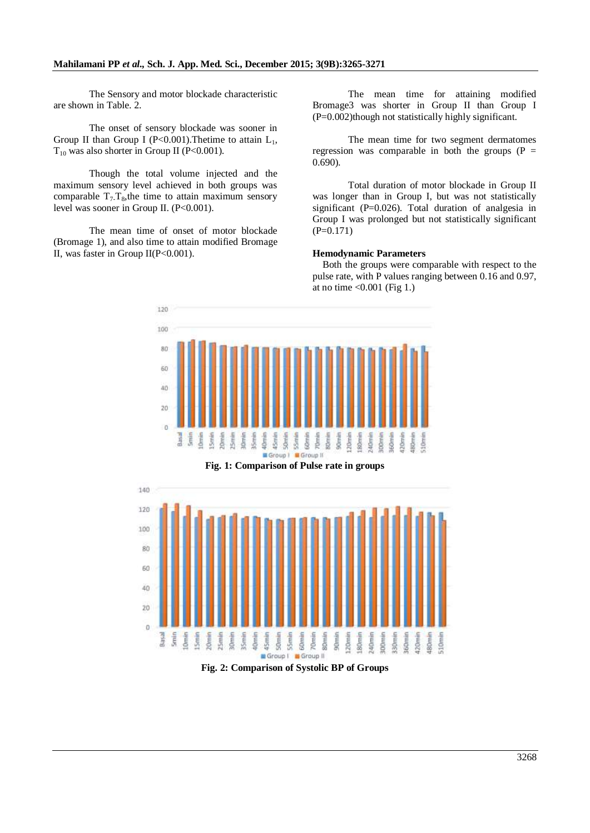#### **Mahilamani PP** *et al.,* **Sch. J. App. Med. Sci., December 2015; 3(9B):3265-3271**

The Sensory and motor blockade characteristic are shown in Table. 2.

The onset of sensory blockade was sooner in Group II than Group I (P<0.001). The time to attain  $L_1$ ,  $T_{10}$  was also shorter in Group II (P<0.001).

Though the total volume injected and the maximum sensory level achieved in both groups was comparable  $T_7$ -T<sub>8</sub>, the time to attain maximum sensory level was sooner in Group II. (P<0.001).

The mean time of onset of motor blockade (Bromage 1), and also time to attain modified Bromage II, was faster in Group II(P<0.001).

The mean time for attaining modified Bromage3 was shorter in Group II than Group I (P=0.002)though not statistically highly significant.

The mean time for two segment dermatomes regression was comparable in both the groups  $(P =$ 0.690).

Total duration of motor blockade in Group II was longer than in Group I, but was not statistically significant (P=0.026). Total duration of analgesia in Group I was prolonged but not statistically significant  $(P=0.171)$ 

#### **Hemodynamic Parameters**

Both the groups were comparable with respect to the pulse rate, with P values ranging between 0.16 and 0.97, at no time  $< 0.001$  (Fig 1.)





**Fig. 2: Comparison of Systolic BP of Groups**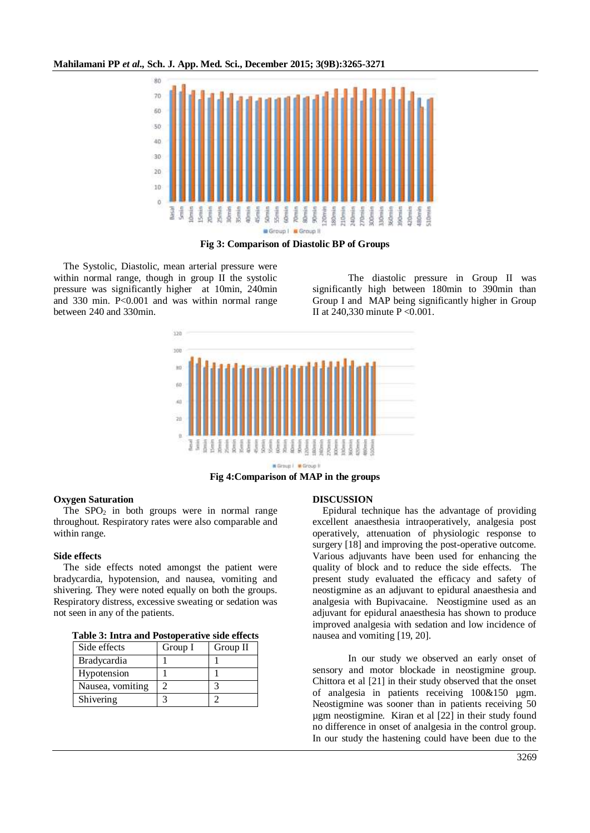**Mahilamani PP** *et al.,* **Sch. J. App. Med. Sci., December 2015; 3(9B):3265-3271**



**Fig 3: Comparison of Diastolic BP of Groups**

The Systolic, Diastolic, mean arterial pressure were within normal range, though in group II the systolic pressure was significantly higher at 10min, 240min and 330 min. P<0.001 and was within normal range between 240 and 330min.

The diastolic pressure in Group II was significantly high between 180min to 390min than Group I and MAP being significantly higher in Group II at 240,330 minute P <0.001.



**B Group I B Group I** 

**Fig 4:Comparison of MAP in the groups**

#### **Oxygen Saturation**

The  $SPO<sub>2</sub>$  in both groups were in normal range throughout. Respiratory rates were also comparable and within range.

#### **Side effects**

The side effects noted amongst the patient were bradycardia, hypotension, and nausea, vomiting and shivering. They were noted equally on both the groups. Respiratory distress, excessive sweating or sedation was not seen in any of the patients.

| Side effects       | Group I | Group II |  |  |
|--------------------|---------|----------|--|--|
| <b>Bradycardia</b> |         |          |  |  |
| Hypotension        |         |          |  |  |
| Nausea, vomiting   |         |          |  |  |
| Shivering          |         |          |  |  |

#### **DISCUSSION**

Epidural technique has the advantage of providing excellent anaesthesia intraoperatively, analgesia post operatively, attenuation of physiologic response to surgery [18] and improving the post-operative outcome. Various adjuvants have been used for enhancing the quality of block and to reduce the side effects. The present study evaluated the efficacy and safety of neostigmine as an adjuvant to epidural anaesthesia and analgesia with Bupivacaine. Neostigmine used as an adjuvant for epidural anaesthesia has shown to produce improved analgesia with sedation and low incidence of nausea and vomiting [19, 20].

In our study we observed an early onset of sensory and motor blockade in neostigmine group. Chittora et al [21] in their study observed that the onset of analgesia in patients receiving 100&150 µgm. Neostigmine was sooner than in patients receiving 50 µgm neostigmine. Kiran et al [22] in their study found no difference in onset of analgesia in the control group. In our study the hastening could have been due to the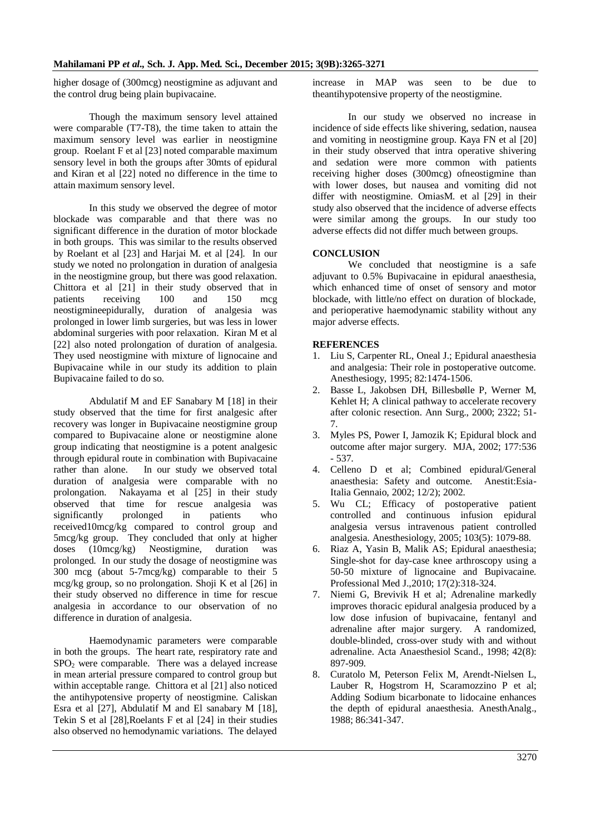higher dosage of (300mcg) neostigmine as adjuvant and the control drug being plain bupivacaine.

Though the maximum sensory level attained were comparable (T7-T8), the time taken to attain the maximum sensory level was earlier in neostigmine group. Roelant F et al [23] noted comparable maximum sensory level in both the groups after 30mts of epidural and Kiran et al [22] noted no difference in the time to attain maximum sensory level.

In this study we observed the degree of motor blockade was comparable and that there was no significant difference in the duration of motor blockade in both groups. This was similar to the results observed by Roelant et al [23] and Harjai M. et al [24]. In our study we noted no prolongation in duration of analgesia in the neostigmine group, but there was good relaxation. Chittora et al [21] in their study observed that in patients receiving 100 and 150 mcg neostigmineepidurally, duration of analgesia was prolonged in lower limb surgeries, but was less in lower abdominal surgeries with poor relaxation. Kiran M et al [22] also noted prolongation of duration of analgesia. They used neostigmine with mixture of lignocaine and Bupivacaine while in our study its addition to plain Bupivacaine failed to do so.

Abdulatif M and EF Sanabary M [18] in their study observed that the time for first analgesic after recovery was longer in Bupivacaine neostigmine group compared to Bupivacaine alone or neostigmine alone group indicating that neostigmine is a potent analgesic through epidural route in combination with Bupivacaine rather than alone. In our study we observed total duration of analgesia were comparable with no prolongation. Nakayama et al [25] in their study observed that time for rescue analgesia was<br>significantly prolonged in patients who significantly prolonged in patients who received10mcg/kg compared to control group and 5mcg/kg group. They concluded that only at higher doses (10mcg/kg) Neostigmine, duration was prolonged. In our study the dosage of neostigmine was 300 mcg (about 5-7mcg/kg) comparable to their 5 mcg/kg group, so no prolongation. Shoji K et al [26] in their study observed no difference in time for rescue analgesia in accordance to our observation of no difference in duration of analgesia.

Haemodynamic parameters were comparable in both the groups. The heart rate, respiratory rate and  $SPO<sub>2</sub>$  were comparable. There was a delayed increase in mean arterial pressure compared to control group but within acceptable range. Chittora et al [21] also noticed the antihypotensive property of neostigmine. Caliskan Esra et al [27], Abdulatif M and El sanabary M [18], Tekin S et al [28],Roelants F et al [24] in their studies also observed no hemodynamic variations. The delayed

increase in MAP was seen to be due to theantihypotensive property of the neostigmine.

In our study we observed no increase in incidence of side effects like shivering, sedation, nausea and vomiting in neostigmine group. Kaya FN et al [20] in their study observed that intra operative shivering and sedation were more common with patients receiving higher doses (300mcg) ofneostigmine than with lower doses, but nausea and vomiting did not differ with neostigmine. OmiasM. et al [29] in their study also observed that the incidence of adverse effects were similar among the groups. In our study too adverse effects did not differ much between groups.

#### **CONCLUSION**

We concluded that neostigmine is a safe adjuvant to 0.5% Bupivacaine in epidural anaesthesia, which enhanced time of onset of sensory and motor blockade, with little/no effect on duration of blockade, and perioperative haemodynamic stability without any major adverse effects.

#### **REFERENCES**

- 1. Liu S, Carpenter RL, Oneal J.; Epidural anaesthesia and analgesia: Their role in postoperative outcome. Anesthesiogy, 1995; 82:1474-1506.
- 2. Basse L, Jakobsen DH, Billesbølle P, Werner M, Kehlet H; A clinical pathway to accelerate recovery after colonic resection. Ann Surg., 2000; 2322; 51- 7.
- 3. Myles PS, Power I, Jamozik K; Epidural block and outcome after major surgery. MJA, 2002; 177:536 - 537.
- 4. Celleno D et al; Combined epidural/General anaesthesia: Safety and outcome. Anestit:Esia-Italia Gennaio, 2002; 12/2); 2002.
- 5. Wu CL; Efficacy of postoperative patient controlled and continuous infusion epidural analgesia versus intravenous patient controlled analgesia. Anesthesiology, 2005; 103(5): 1079-88.
- 6. Riaz A, Yasin B, Malik AS; Epidural anaesthesia; Single-shot for day-case knee arthroscopy using a 50-50 mixture of lignocaine and Bupivacaine. Professional Med J.,2010; 17(2):318-324.
- 7. Niemi G, Brevivik H et al; Adrenaline markedly improves thoracic epidural analgesia produced by a low dose infusion of bupivacaine, fentanyl and adrenaline after major surgery. A randomized, double-blinded, cross-over study with and without adrenaline. Acta Anaesthesiol Scand., 1998; 42(8): 897-909.
- 8. Curatolo M, Peterson Felix M, Arendt-Nielsen L, Lauber R, Hogstrom H, Scaramozzino P et al; Adding Sodium bicarbonate to lidocaine enhances the depth of epidural anaesthesia. AnesthAnalg., 1988; 86:341-347.